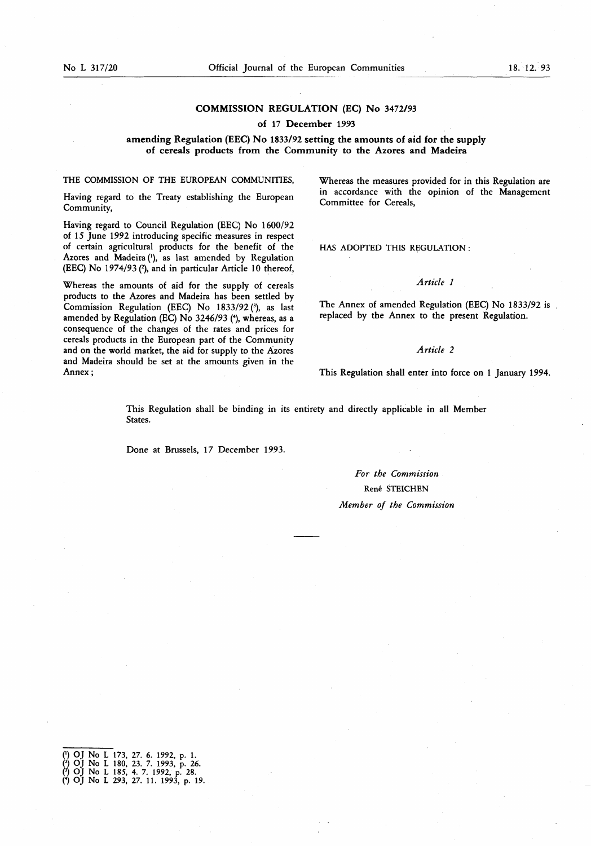# COMMISSION REGULATION (EC) No 3472/93

#### of 17 December 1993

## amending Regulation (EEC) No 1833/92 setting the amounts of aid for the supply of cereals products from the Community to the Azores and Madeira

THE COMMISSION OF THE EUROPEAN COMMUNITIES,

Having regard to the Treaty establishing the European Community,

Having regard to Council Regulation (EEC) No 1600/92 of 15 June 1992 introducing specific measures in respect of certain agricultural products for the benefit of the Azores and Madeira ('), as last amended by Regulation (EEC) No 1974/93 (2), and in particular Article 10 thereof,

Whereas the amounts of aid for the supply of cereals products to the Azores and Madeira has been settled by Commission Regulation (EEC) No  $1833/92$  (3), as last amended by Regulation (EC) No 3246/93 (4), whereas, as a consequence of the changes of the rates and prices for cereals products in the European part of the Community and on the world market, the aid for supply to the Azores and Madeira should be set at the amounts given in the Annex ;

Whereas the measures provided for in this Regulation are in accordance with the opinion of the Management Committee for Cereals,

HAS ADOPTED THIS REGULATION :

## Article <sup>1</sup>

The Annex of amended Regulation (EEC) No 1833/92 is replaced by the Annex to the present Regulation.

#### Article 2

This Regulation shall enter into force on <sup>1</sup> January 1994.

This Regulation shall be binding in its entirety and directly applicable in all Member States.

Done at Brussels, 17 December 1993.

For the Commission Rene STEICHEN Member of the Commission

0) OJ No L 173, 27. 6. 1992, p. <sup>1</sup> . (2) OJ No L 180, 23. 7. 1993, p. 26. 0 OJ No <sup>L</sup> 185, 4. 7. 1992, p. 28. (4) OJ No L 293, 27. 11 . 1993, p. <sup>15</sup>